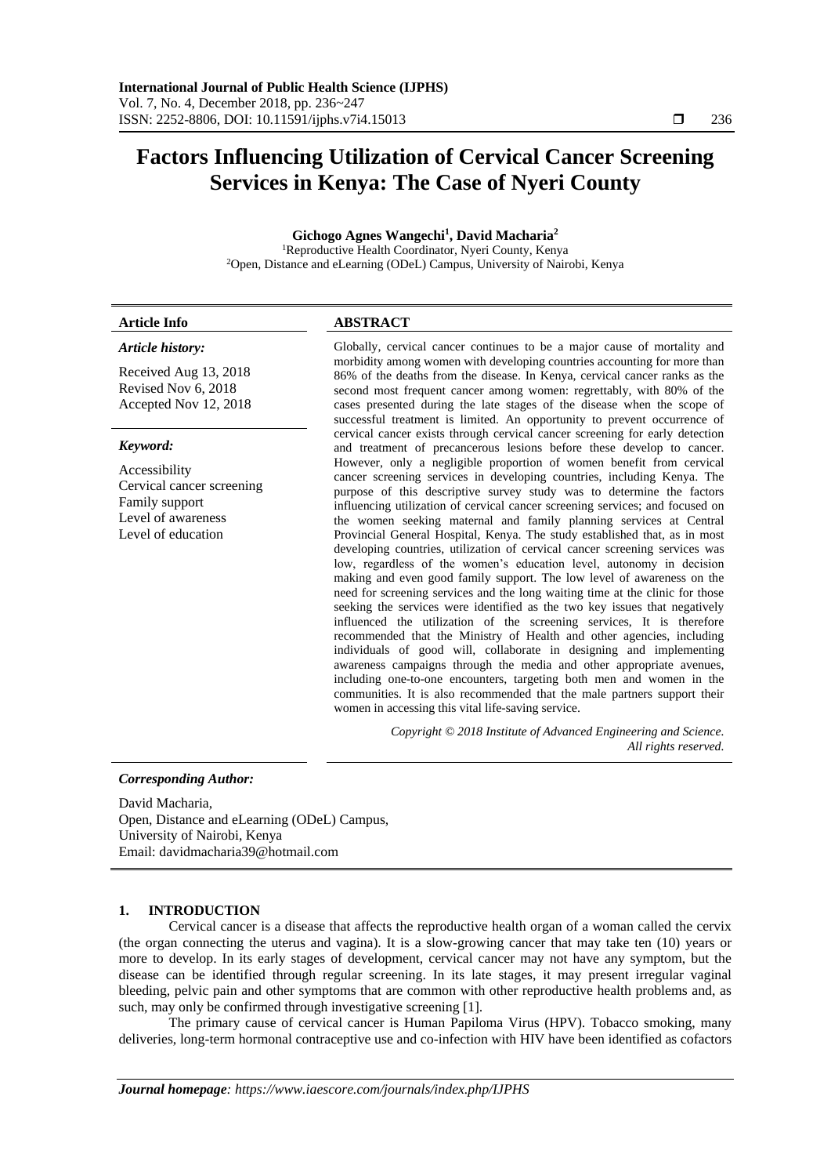# **Factors Influencing Utilization of Cervical Cancer Screening Services in Kenya: The Case of Nyeri County**

# **Gichogo Agnes Wangechi<sup>1</sup> , David Macharia<sup>2</sup>**

<sup>1</sup>Reproductive Health Coordinator, Nyeri County, Kenya <sup>2</sup>Open, Distance and eLearning (ODeL) Campus, University of Nairobi, Kenya

# **Article Info ABSTRACT**

# *Article history:*

Received Aug 13, 2018 Revised Nov 6, 2018 Accepted Nov 12, 2018

# *Keyword:*

Accessibility Cervical cancer screening Family support Level of awareness Level of education

Globally, cervical cancer continues to be a major cause of mortality and morbidity among women with developing countries accounting for more than 86% of the deaths from the disease. In Kenya, cervical cancer ranks as the second most frequent cancer among women: regrettably, with 80% of the cases presented during the late stages of the disease when the scope of successful treatment is limited. An opportunity to prevent occurrence of cervical cancer exists through cervical cancer screening for early detection and treatment of precancerous lesions before these develop to cancer. However, only a negligible proportion of women benefit from cervical cancer screening services in developing countries, including Kenya. The purpose of this descriptive survey study was to determine the factors influencing utilization of cervical cancer screening services; and focused on the women seeking maternal and family planning services at Central Provincial General Hospital, Kenya. The study established that, as in most developing countries, utilization of cervical cancer screening services was low, regardless of the women's education level, autonomy in decision making and even good family support. The low level of awareness on the need for screening services and the long waiting time at the clinic for those seeking the services were identified as the two key issues that negatively influenced the utilization of the screening services, It is therefore recommended that the Ministry of Health and other agencies, including individuals of good will, collaborate in designing and implementing awareness campaigns through the media and other appropriate avenues, including one-to-one encounters, targeting both men and women in the communities. It is also recommended that the male partners support their women in accessing this vital life-saving service.

> *Copyright © 2018 Institute of Advanced Engineering and Science. All rights reserved.*

# *Corresponding Author:*

David Macharia, Open, Distance and eLearning (ODeL) Campus, University of Nairobi, Kenya Email: davidmacharia39@hotmail.com

# **1. INTRODUCTION**

Cervical cancer is a disease that affects the reproductive health organ of a woman called the cervix (the organ connecting the uterus and vagina). It is a slow-growing cancer that may take ten (10) years or more to develop. In its early stages of development, cervical cancer may not have any symptom, but the disease can be identified through regular screening. In its late stages, it may present irregular vaginal bleeding, pelvic pain and other symptoms that are common with other reproductive health problems and, as such, may only be confirmed through investigative screening [1].

The primary cause of cervical cancer is Human Papiloma Virus (HPV). Tobacco smoking, many deliveries, long-term hormonal contraceptive use and co-infection with HIV have been identified as cofactors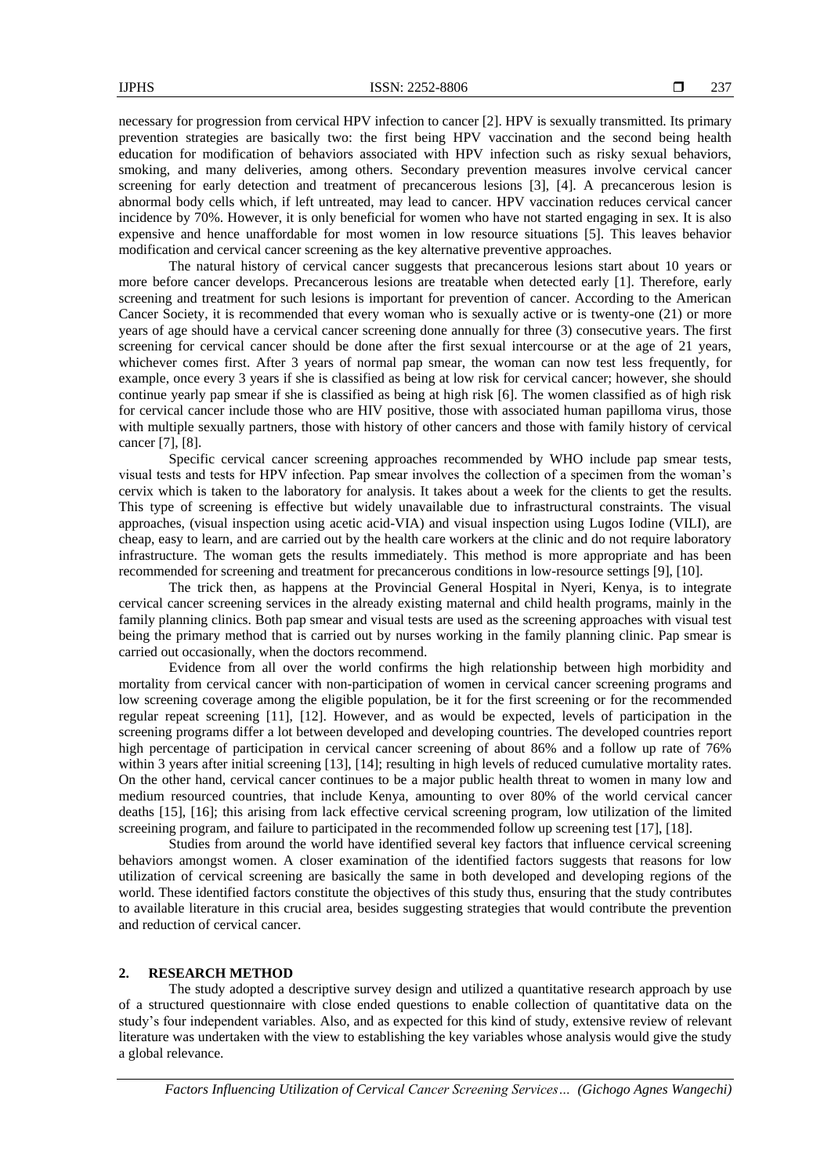necessary for progression from cervical HPV infection to cancer [2]. HPV is sexually transmitted. Its primary prevention strategies are basically two: the first being HPV vaccination and the second being health education for modification of behaviors associated with HPV infection such as risky sexual behaviors, smoking, and many deliveries, among others. Secondary prevention measures involve cervical cancer screening for early detection and treatment of precancerous lesions [3], [4]. A precancerous lesion is abnormal body cells which, if left untreated, may lead to cancer. HPV vaccination reduces cervical cancer incidence by 70%. However, it is only beneficial for women who have not started engaging in sex. It is also expensive and hence unaffordable for most women in low resource situations [5]. This leaves behavior modification and cervical cancer screening as the key alternative preventive approaches.

The natural history of cervical cancer suggests that precancerous lesions start about 10 years or more before cancer develops. Precancerous lesions are treatable when detected early [1]. Therefore, early screening and treatment for such lesions is important for prevention of cancer. According to the American Cancer Society, it is recommended that every woman who is sexually active or is twenty-one (21) or more years of age should have a cervical cancer screening done annually for three (3) consecutive years. The first screening for cervical cancer should be done after the first sexual intercourse or at the age of 21 years, whichever comes first. After 3 years of normal pap smear, the woman can now test less frequently, for example, once every 3 years if she is classified as being at low risk for cervical cancer; however, she should continue yearly pap smear if she is classified as being at high risk [6]. The women classified as of high risk for cervical cancer include those who are HIV positive, those with associated human papilloma virus, those with multiple sexually partners, those with history of other cancers and those with family history of cervical cancer [7], [8].

Specific cervical cancer screening approaches recommended by WHO include pap smear tests, visual tests and tests for HPV infection. Pap smear involves the collection of a specimen from the woman's cervix which is taken to the laboratory for analysis. It takes about a week for the clients to get the results. This type of screening is effective but widely unavailable due to infrastructural constraints. The visual approaches, (visual inspection using acetic acid-VIA) and visual inspection using Lugos Iodine (VILI), are cheap, easy to learn, and are carried out by the health care workers at the clinic and do not require laboratory infrastructure. The woman gets the results immediately. This method is more appropriate and has been recommended for screening and treatment for precancerous conditions in low-resource settings [9], [10].

The trick then, as happens at the Provincial General Hospital in Nyeri, Kenya, is to integrate cervical cancer screening services in the already existing maternal and child health programs, mainly in the family planning clinics. Both pap smear and visual tests are used as the screening approaches with visual test being the primary method that is carried out by nurses working in the family planning clinic. Pap smear is carried out occasionally, when the doctors recommend.

Evidence from all over the world confirms the high relationship between high morbidity and mortality from cervical cancer with non-participation of women in cervical cancer screening programs and low screening coverage among the eligible population, be it for the first screening or for the recommended regular repeat screening [11], [12]. However, and as would be expected, levels of participation in the screening programs differ a lot between developed and developing countries. The developed countries report high percentage of participation in cervical cancer screening of about 86% and a follow up rate of 76% within 3 years after initial screening [13], [14]; resulting in high levels of reduced cumulative mortality rates. On the other hand, cervical cancer continues to be a major public health threat to women in many low and medium resourced countries, that include Kenya, amounting to over 80% of the world cervical cancer deaths [15], [16]; this arising from lack effective cervical screening program, low utilization of the limited screeining program, and failure to participated in the recommended follow up screening test [17], [18].

Studies from around the world have identified several key factors that influence cervical screening behaviors amongst women. A closer examination of the identified factors suggests that reasons for low utilization of cervical screening are basically the same in both developed and developing regions of the world. These identified factors constitute the objectives of this study thus, ensuring that the study contributes to available literature in this crucial area, besides suggesting strategies that would contribute the prevention and reduction of cervical cancer.

#### **2. RESEARCH METHOD**

The study adopted a descriptive survey design and utilized a quantitative research approach by use of a structured questionnaire with close ended questions to enable collection of quantitative data on the study's four independent variables. Also, and as expected for this kind of study, extensive review of relevant literature was undertaken with the view to establishing the key variables whose analysis would give the study a global relevance.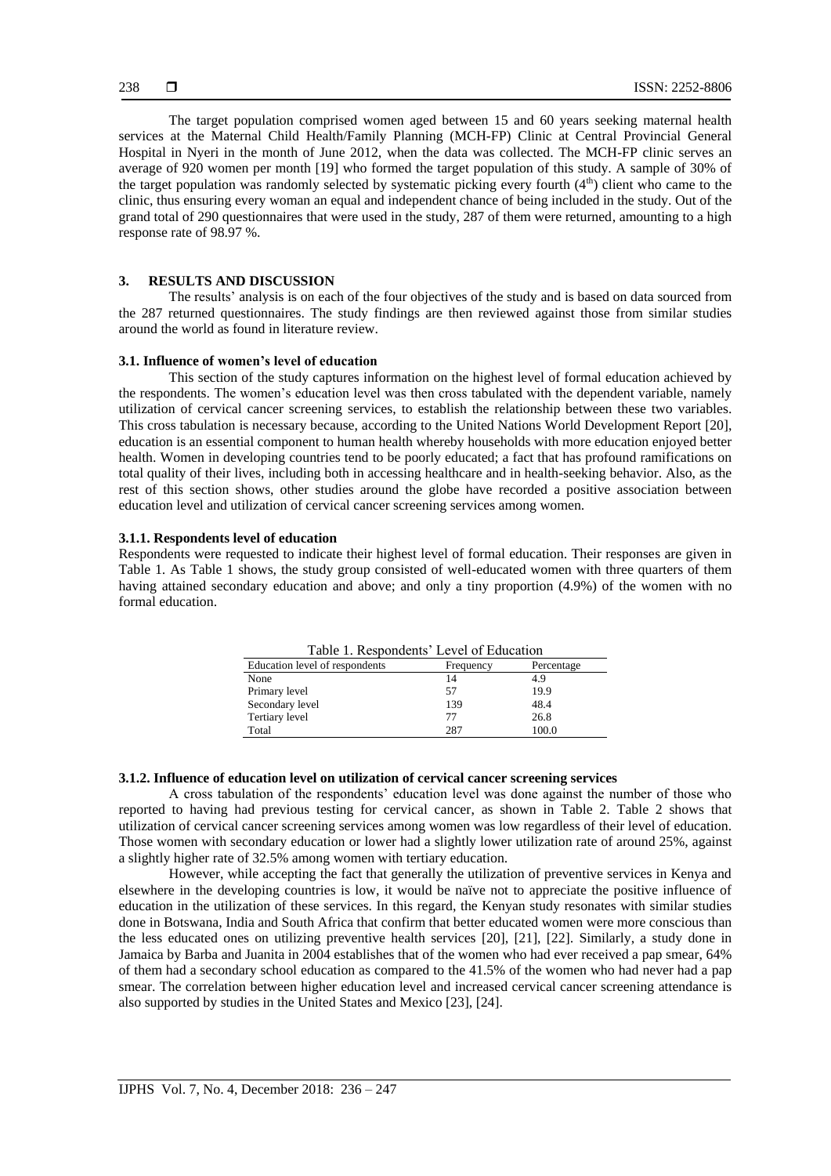The target population comprised women aged between 15 and 60 years seeking maternal health services at the Maternal Child Health/Family Planning (MCH-FP) Clinic at Central Provincial General Hospital in Nyeri in the month of June 2012, when the data was collected. The MCH-FP clinic serves an average of 920 women per month [19] who formed the target population of this study. A sample of 30% of the target population was randomly selected by systematic picking every fourth  $(4<sup>th</sup>)$  client who came to the clinic, thus ensuring every woman an equal and independent chance of being included in the study. Out of the grand total of 290 questionnaires that were used in the study, 287 of them were returned, amounting to a high response rate of 98.97 %.

# **3. RESULTS AND DISCUSSION**

The results' analysis is on each of the four objectives of the study and is based on data sourced from the 287 returned questionnaires. The study findings are then reviewed against those from similar studies around the world as found in literature review.

# **3.1. Influence of women's level of education**

This section of the study captures information on the highest level of formal education achieved by the respondents. The women's education level was then cross tabulated with the dependent variable, namely utilization of cervical cancer screening services, to establish the relationship between these two variables. This cross tabulation is necessary because, according to the United Nations World Development Report [20], education is an essential component to human health whereby households with more education enjoyed better health. Women in developing countries tend to be poorly educated; a fact that has profound ramifications on total quality of their lives, including both in accessing healthcare and in health-seeking behavior. Also, as the rest of this section shows, other studies around the globe have recorded a positive association between education level and utilization of cervical cancer screening services among women.

# **3.1.1. Respondents level of education**

Respondents were requested to indicate their highest level of formal education. Their responses are given in Table 1. As Table 1 shows, the study group consisted of well-educated women with three quarters of them having attained secondary education and above; and only a tiny proportion (4.9%) of the women with no formal education.

| Table 1. Respondents' Level of Education |           |            |
|------------------------------------------|-----------|------------|
| Education level of respondents           | Frequency | Percentage |
| None                                     | 14        | 4.9        |
| Primary level                            | 57        | 19.9       |
| Secondary level                          | 139       | 48.4       |
| Tertiary level                           | 77        | 26.8       |
| Total                                    | 287       | 100.0      |

# **3.1.2. Influence of education level on utilization of cervical cancer screening services**

A cross tabulation of the respondents' education level was done against the number of those who reported to having had previous testing for cervical cancer, as shown in Table 2. Table 2 shows that utilization of cervical cancer screening services among women was low regardless of their level of education. Those women with secondary education or lower had a slightly lower utilization rate of around 25%, against a slightly higher rate of 32.5% among women with tertiary education.

However, while accepting the fact that generally the utilization of preventive services in Kenya and elsewhere in the developing countries is low, it would be naïve not to appreciate the positive influence of education in the utilization of these services. In this regard, the Kenyan study resonates with similar studies done in Botswana, India and South Africa that confirm that better educated women were more conscious than the less educated ones on utilizing preventive health services [20], [21], [22]. Similarly, a study done in Jamaica by Barba and Juanita in 2004 establishes that of the women who had ever received a pap smear, 64% of them had a secondary school education as compared to the 41.5% of the women who had never had a pap smear. The correlation between higher education level and increased cervical cancer screening attendance is also supported by studies in the United States and Mexico [23], [24].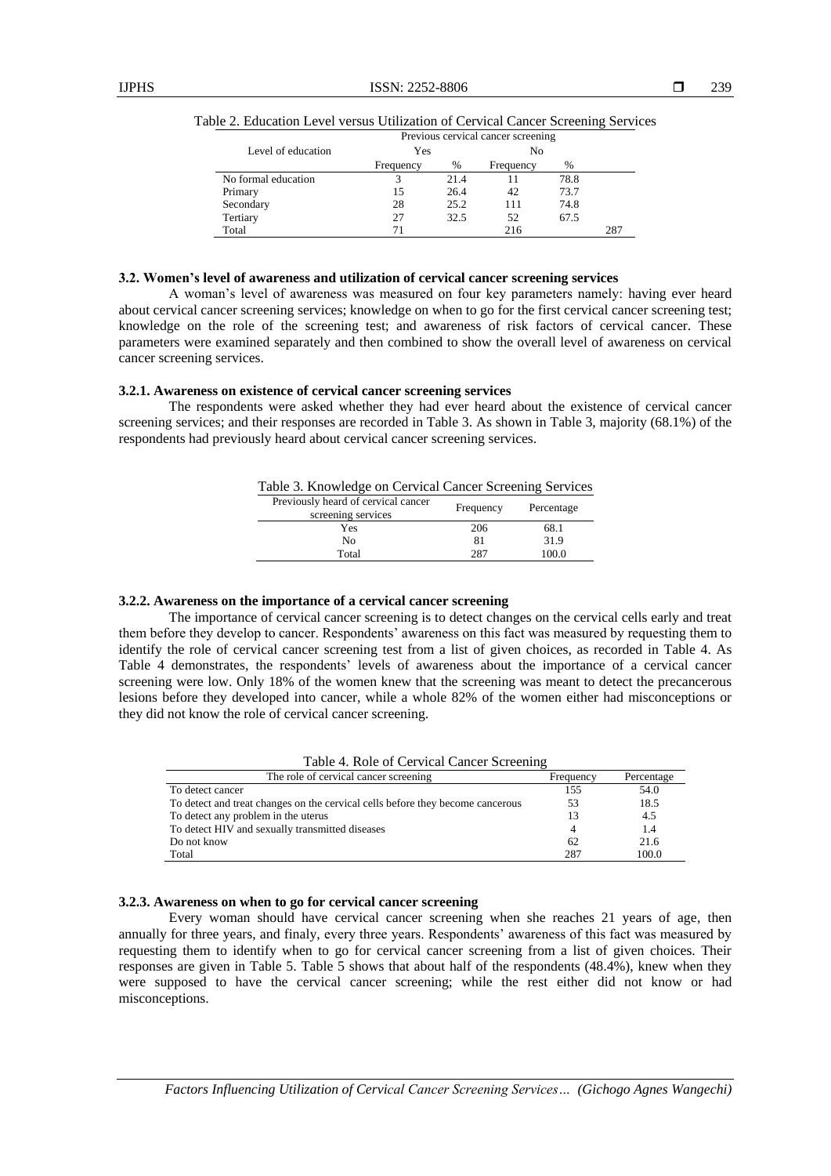|                     | Previous cervical cancer screening |      |           |      |     |
|---------------------|------------------------------------|------|-----------|------|-----|
| Level of education  | Yes                                |      | No        |      |     |
|                     | Frequency                          | $\%$ | Frequency | $\%$ |     |
| No formal education |                                    | 21.4 |           | 78.8 |     |
| Primary             | 15                                 | 26.4 | 42        | 73.7 |     |
| Secondary           | 28                                 | 25.2 | 111       | 74.8 |     |
| Tertiary            | 27                                 | 32.5 | 52        | 67.5 |     |
| Total               | 71                                 |      | 216       |      | 287 |

|  | Table 2. Education Level versus Utilization of Cervical Cancer Screening Services |  |  |  |  |  |  |  |  |  |
|--|-----------------------------------------------------------------------------------|--|--|--|--|--|--|--|--|--|
|--|-----------------------------------------------------------------------------------|--|--|--|--|--|--|--|--|--|

#### **3.2. Women's level of awareness and utilization of cervical cancer screening services**

A woman's level of awareness was measured on four key parameters namely: having ever heard about cervical cancer screening services; knowledge on when to go for the first cervical cancer screening test; knowledge on the role of the screening test; and awareness of risk factors of cervical cancer. These parameters were examined separately and then combined to show the overall level of awareness on cervical cancer screening services.

#### **3.2.1. Awareness on existence of cervical cancer screening services**

The respondents were asked whether they had ever heard about the existence of cervical cancer screening services; and their responses are recorded in Table 3. As shown in Table 3, majority (68.1%) of the respondents had previously heard about cervical cancer screening services.

| Table 3. Knowledge on Cervical Cancer Screening Services |  |  |  |
|----------------------------------------------------------|--|--|--|
|----------------------------------------------------------|--|--|--|

| Previously heard of cervical cancer<br>screening services | Frequency | Percentage |
|-----------------------------------------------------------|-----------|------------|
| Yes                                                       | 206       | 68.1       |
| No                                                        | 81        | 31.9       |
| Total                                                     | 287       | 100.0      |

# **3.2.2. Awareness on the importance of a cervical cancer screening**

The importance of cervical cancer screening is to detect changes on the cervical cells early and treat them before they develop to cancer. Respondents' awareness on this fact was measured by requesting them to identify the role of cervical cancer screening test from a list of given choices, as recorded in Table 4. As Table 4 demonstrates, the respondents' levels of awareness about the importance of a cervical cancer screening were low. Only 18% of the women knew that the screening was meant to detect the precancerous lesions before they developed into cancer, while a whole 82% of the women either had misconceptions or they did not know the role of cervical cancer screening.

| Tuble 1. Role of Cervical Cancel Bereching                                     |           |            |  |  |  |
|--------------------------------------------------------------------------------|-----------|------------|--|--|--|
| The role of cervical cancer screening                                          | Frequency | Percentage |  |  |  |
| To detect cancer                                                               | 155       | 54.0       |  |  |  |
| To detect and treat changes on the cervical cells before they become cancerous | 53        | 18.5       |  |  |  |
| To detect any problem in the uterus                                            |           | 4.5        |  |  |  |
| To detect HIV and sexually transmitted diseases                                |           | 1.4        |  |  |  |
| Do not know                                                                    | 62        | 21.6       |  |  |  |
| Total                                                                          | 287       | 100.0      |  |  |  |
|                                                                                |           |            |  |  |  |

# Table 4. Role of Cervical Cancer Screening

# **3.2.3. Awareness on when to go for cervical cancer screening**

Every woman should have cervical cancer screening when she reaches 21 years of age, then annually for three years, and finaly, every three years. Respondents' awareness of this fact was measured by requesting them to identify when to go for cervical cancer screening from a list of given choices. Their responses are given in Table 5. Table 5 shows that about half of the respondents (48.4%), knew when they were supposed to have the cervical cancer screening; while the rest either did not know or had misconceptions.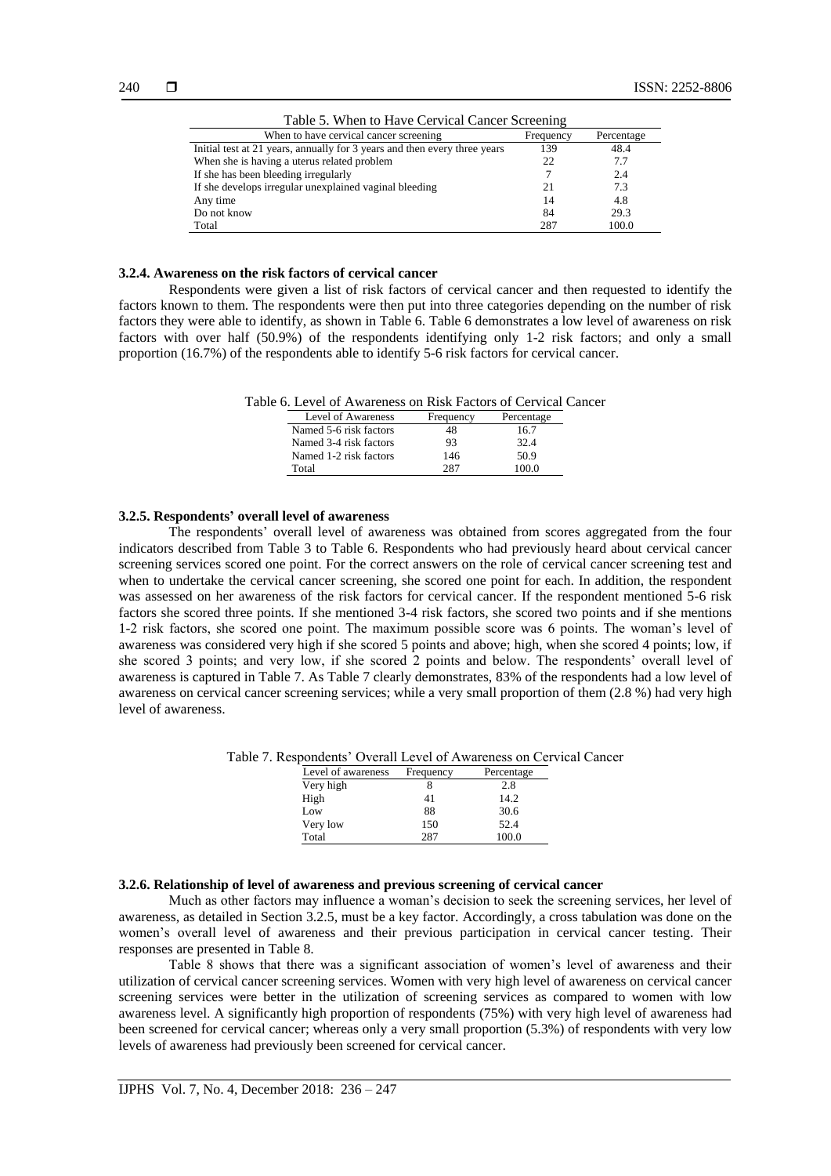| Table 5. When to Have Cervical Cancer Screening                           |           |            |  |  |
|---------------------------------------------------------------------------|-----------|------------|--|--|
| When to have cervical cancer screening                                    | Frequency | Percentage |  |  |
| Initial test at 21 years, annually for 3 years and then every three years | 139       | 48.4       |  |  |
| When she is having a uterus related problem                               | 22        | 7.7        |  |  |
| If she has been bleeding irregularly                                      |           | 2.4        |  |  |
| If she develops irregular unexplained vaginal bleeding                    | 21        | 7.3        |  |  |
| Any time                                                                  | 14        | 4.8        |  |  |
| Do not know                                                               | 84        | 29.3       |  |  |
| Total                                                                     | 287       | 100.0      |  |  |

#### **3.2.4. Awareness on the risk factors of cervical cancer**

Respondents were given a list of risk factors of cervical cancer and then requested to identify the factors known to them. The respondents were then put into three categories depending on the number of risk factors they were able to identify, as shown in Table 6. Table 6 demonstrates a low level of awareness on risk factors with over half (50.9%) of the respondents identifying only 1-2 risk factors; and only a small proportion (16.7%) of the respondents able to identify 5-6 risk factors for cervical cancer.

Table 6. Level of Awareness on Risk Factors of Cervical Cancer

| Level of Awareness     | Frequency | Percentage |
|------------------------|-----------|------------|
| Named 5-6 risk factors | 48        | 16.7       |
| Named 3-4 risk factors | 93        | 32.4       |
| Named 1-2 risk factors | 146       | 50.9       |
| Total                  | 287       | 100 O      |

#### **3.2.5. Respondents' overall level of awareness**

The respondents' overall level of awareness was obtained from scores aggregated from the four indicators described from Table 3 to Table 6. Respondents who had previously heard about cervical cancer screening services scored one point. For the correct answers on the role of cervical cancer screening test and when to undertake the cervical cancer screening, she scored one point for each. In addition, the respondent was assessed on her awareness of the risk factors for cervical cancer. If the respondent mentioned 5-6 risk factors she scored three points. If she mentioned 3-4 risk factors, she scored two points and if she mentions 1-2 risk factors, she scored one point. The maximum possible score was 6 points. The woman's level of awareness was considered very high if she scored 5 points and above; high, when she scored 4 points; low, if she scored 3 points; and very low, if she scored 2 points and below. The respondents' overall level of awareness is captured in Table 7. As Table 7 clearly demonstrates, 83% of the respondents had a low level of awareness on cervical cancer screening services; while a very small proportion of them (2.8 %) had very high level of awareness.

Table 7. Respondents' Overall Level of Awareness on Cervical Cancer

| Level of awareness | Frequency | Percentage |
|--------------------|-----------|------------|
| Very high          |           | 2.8        |
| High               | 41        | 14.2       |
| Low                | 88        | 30.6       |
| Very low           | 150       | 52.4       |
| Total              | 287       | 100.0      |

#### **3.2.6. Relationship of level of awareness and previous screening of cervical cancer**

Much as other factors may influence a woman's decision to seek the screening services, her level of awareness, as detailed in Section 3.2.5, must be a key factor. Accordingly, a cross tabulation was done on the women's overall level of awareness and their previous participation in cervical cancer testing. Their responses are presented in Table 8.

Table 8 shows that there was a significant association of women's level of awareness and their utilization of cervical cancer screening services. Women with very high level of awareness on cervical cancer screening services were better in the utilization of screening services as compared to women with low awareness level. A significantly high proportion of respondents (75%) with very high level of awareness had been screened for cervical cancer; whereas only a very small proportion (5.3%) of respondents with very low levels of awareness had previously been screened for cervical cancer.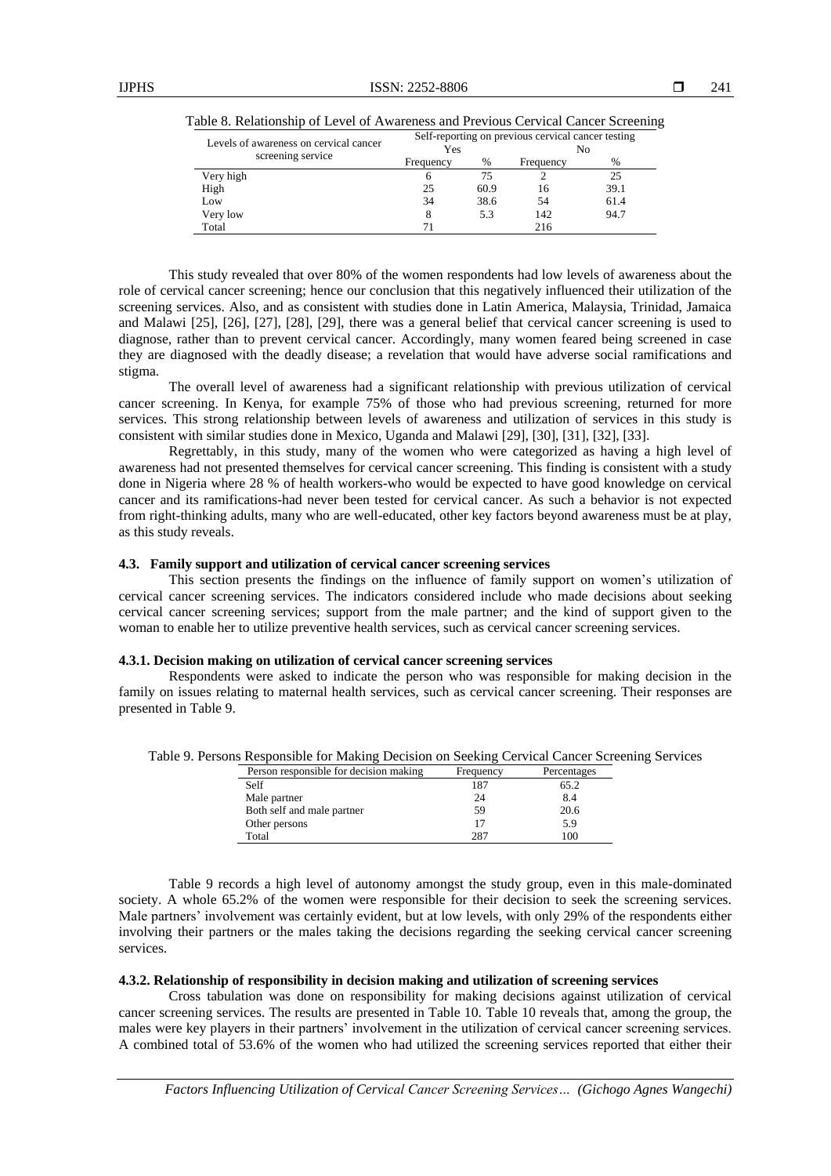| Levels of awareness on cervical cancer | Self-reporting on previous cervical cancer testing<br>Yes<br>No |      |           |               |
|----------------------------------------|-----------------------------------------------------------------|------|-----------|---------------|
| screening service                      | Frequency                                                       | %    | Frequency | $\frac{0}{0}$ |
| Very high                              |                                                                 |      |           |               |
| High                                   | 25                                                              | 60.9 | 16        | 39.1          |
| Low                                    | 34                                                              | 38.6 | 54        | 61.4          |
| Very low                               |                                                                 | 5.3  | 142       | 94.7          |

Total 216

Table 8. Relationship of Level of Awareness and Previous Cervical Cancer Screening

This study revealed that over 80% of the women respondents had low levels of awareness about the role of cervical cancer screening; hence our conclusion that this negatively influenced their utilization of the screening services. Also, and as consistent with studies done in Latin America, Malaysia, Trinidad, Jamaica and Malawi [25], [26], [27], [28], [29], there was a general belief that cervical cancer screening is used to diagnose, rather than to prevent cervical cancer. Accordingly, many women feared being screened in case they are diagnosed with the deadly disease; a revelation that would have adverse social ramifications and stigma.

The overall level of awareness had a significant relationship with previous utilization of cervical cancer screening. In Kenya, for example 75% of those who had previous screening, returned for more services. This strong relationship between levels of awareness and utilization of services in this study is consistent with similar studies done in Mexico, Uganda and Malawi [29], [30], [31], [32], [33].

Regrettably, in this study, many of the women who were categorized as having a high level of awareness had not presented themselves for cervical cancer screening. This finding is consistent with a study done in Nigeria where 28 % of health workers-who would be expected to have good knowledge on cervical cancer and its ramifications-had never been tested for cervical cancer. As such a behavior is not expected from right-thinking adults, many who are well-educated, other key factors beyond awareness must be at play, as this study reveals.

#### **4.3. Family support and utilization of cervical cancer screening services**

This section presents the findings on the influence of family support on women's utilization of cervical cancer screening services. The indicators considered include who made decisions about seeking cervical cancer screening services; support from the male partner; and the kind of support given to the woman to enable her to utilize preventive health services, such as cervical cancer screening services.

#### **4.3.1. Decision making on utilization of cervical cancer screening services**

Respondents were asked to indicate the person who was responsible for making decision in the family on issues relating to maternal health services, such as cervical cancer screening. Their responses are presented in Table 9.

| Table 9. Persons Responsible for Making Decision on Seeking Cervical Cancer Screening Services |
|------------------------------------------------------------------------------------------------|
|------------------------------------------------------------------------------------------------|

| Frequency | Percentages |
|-----------|-------------|
| 187       | 65.2        |
| 24        | 8.4         |
| 59        | 20.6        |
| 17        | 5.9         |
| 287       | 100         |
|           |             |

Table 9 records a high level of autonomy amongst the study group, even in this male-dominated society. A whole 65.2% of the women were responsible for their decision to seek the screening services. Male partners' involvement was certainly evident, but at low levels, with only 29% of the respondents either involving their partners or the males taking the decisions regarding the seeking cervical cancer screening services.

#### **4.3.2. Relationship of responsibility in decision making and utilization of screening services**

Cross tabulation was done on responsibility for making decisions against utilization of cervical cancer screening services. The results are presented in Table 10. Table 10 reveals that, among the group, the males were key players in their partners' involvement in the utilization of cervical cancer screening services. A combined total of 53.6% of the women who had utilized the screening services reported that either their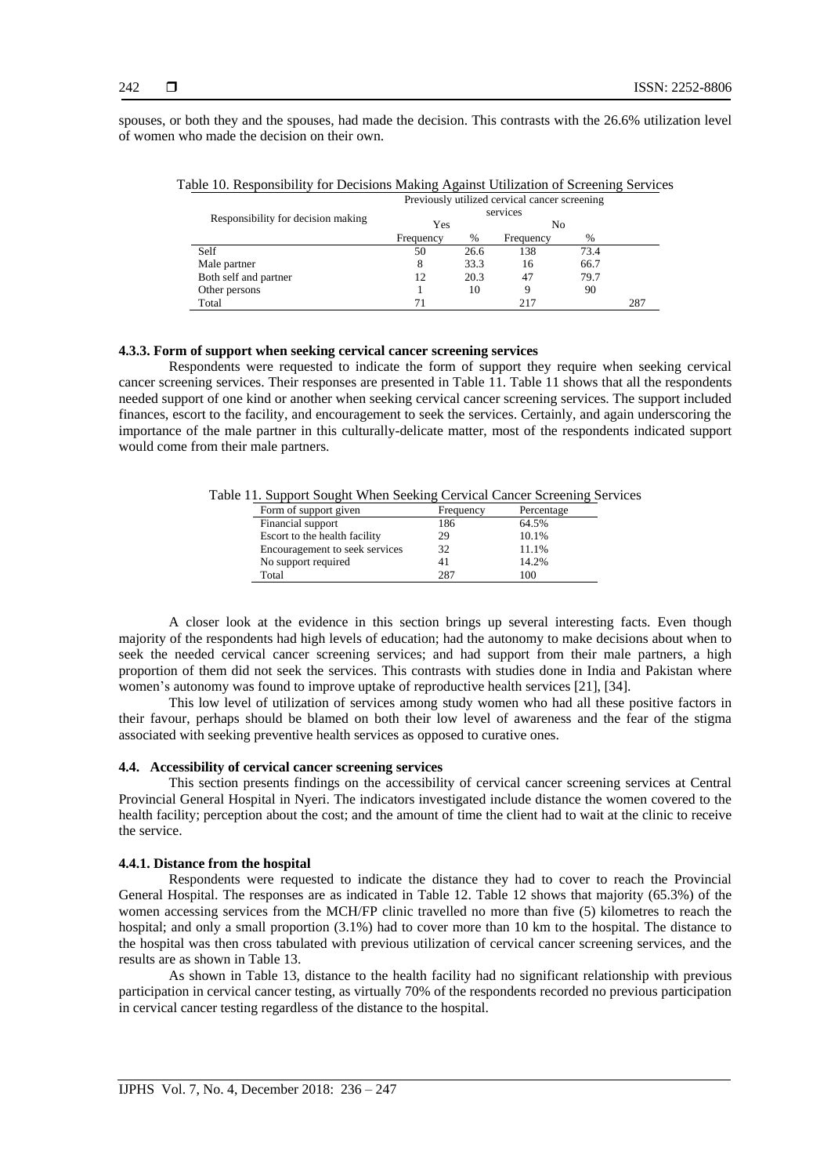spouses, or both they and the spouses, had made the decision. This contrasts with the 26.6% utilization level of women who made the decision on their own.

| $\mathbf{C}$<br>Tor Beenstons mutually rigamed campation or betterming between |                                               |      |           |      |     |  |
|--------------------------------------------------------------------------------|-----------------------------------------------|------|-----------|------|-----|--|
|                                                                                | Previously utilized cervical cancer screening |      |           |      |     |  |
| Responsibility for decision making                                             |                                               |      |           |      |     |  |
|                                                                                | Yes                                           |      | No        |      |     |  |
|                                                                                | Frequency                                     | %    | Frequency | $\%$ |     |  |
| Self                                                                           | 50                                            | 26.6 | 138       | 73.4 |     |  |
| Male partner                                                                   | 8                                             | 33.3 | 16        | 66.7 |     |  |
| Both self and partner                                                          | 12                                            | 20.3 | 47        | 79.7 |     |  |
| Other persons                                                                  |                                               | 10   | Q         | 90   |     |  |
| Total                                                                          |                                               |      | 217       |      | 287 |  |

Table 10. Responsibility for Decisions Making Against Utilization of Screening Services

# **4.3.3. Form of support when seeking cervical cancer screening services**

Respondents were requested to indicate the form of support they require when seeking cervical cancer screening services. Their responses are presented in Table 11. Table 11 shows that all the respondents needed support of one kind or another when seeking cervical cancer screening services. The support included finances, escort to the facility, and encouragement to seek the services. Certainly, and again underscoring the importance of the male partner in this culturally-delicate matter, most of the respondents indicated support would come from their male partners.

Table 11. Support Sought When Seeking Cervical Cancer Screening Services

| Form of support given          | Frequency | Percentage |
|--------------------------------|-----------|------------|
| Financial support              | 186       | 64.5%      |
| Escort to the health facility  | 29        | 10.1%      |
| Encouragement to seek services | 32        | 11.1%      |
| No support required            | 41        | 14.2%      |
| Total                          | 287       | 100        |

A closer look at the evidence in this section brings up several interesting facts. Even though majority of the respondents had high levels of education; had the autonomy to make decisions about when to seek the needed cervical cancer screening services; and had support from their male partners, a high proportion of them did not seek the services. This contrasts with studies done in India and Pakistan where women's autonomy was found to improve uptake of reproductive health services [21], [34].

This low level of utilization of services among study women who had all these positive factors in their favour, perhaps should be blamed on both their low level of awareness and the fear of the stigma associated with seeking preventive health services as opposed to curative ones.

### **4.4. Accessibility of cervical cancer screening services**

This section presents findings on the accessibility of cervical cancer screening services at Central Provincial General Hospital in Nyeri. The indicators investigated include distance the women covered to the health facility; perception about the cost; and the amount of time the client had to wait at the clinic to receive the service.

# **4.4.1. Distance from the hospital**

Respondents were requested to indicate the distance they had to cover to reach the Provincial General Hospital. The responses are as indicated in Table 12. Table 12 shows that majority (65.3%) of the women accessing services from the MCH/FP clinic travelled no more than five (5) kilometres to reach the hospital; and only a small proportion (3.1%) had to cover more than 10 km to the hospital. The distance to the hospital was then cross tabulated with previous utilization of cervical cancer screening services, and the results are as shown in Table 13.

As shown in Table 13, distance to the health facility had no significant relationship with previous participation in cervical cancer testing, as virtually 70% of the respondents recorded no previous participation in cervical cancer testing regardless of the distance to the hospital.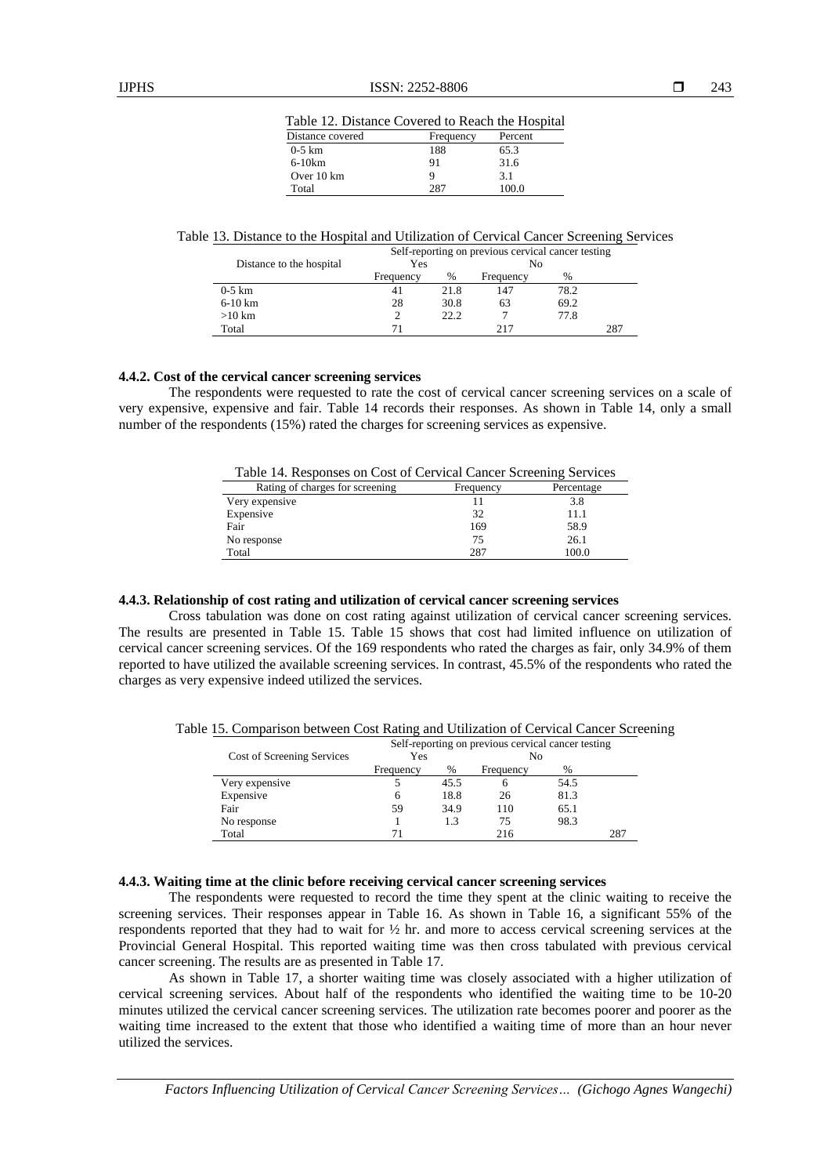| Table 12. Distance Covered to Reach the Hospital |           |         |  |  |
|--------------------------------------------------|-----------|---------|--|--|
| Distance covered                                 | Frequency | Percent |  |  |
| $0-5$ km                                         | 188       | 65.3    |  |  |
| $6-10km$                                         | 91        | 31.6    |  |  |
| Over 10 km                                       |           | 3.1     |  |  |
| Total                                            | 287       | 100.0   |  |  |

Table 13. Distance to the Hospital and Utilization of Cervical Cancer Screening Services

| Distance to the hospital | Self-reporting on previous cervical cancer testing<br>Yes<br>No |      |           |      |     |
|--------------------------|-----------------------------------------------------------------|------|-----------|------|-----|
|                          | Frequency                                                       | %    | Frequency | $\%$ |     |
| $0-5$ km                 |                                                                 | 21.8 | 147       | 78.2 |     |
| $6-10$ km                | 28                                                              | 30.8 | 63        | 69.2 |     |
| $>10$ km                 |                                                                 | 22.2 |           | 77.8 |     |
| Total                    |                                                                 |      | 217       |      | 287 |

# **4.4.2. Cost of the cervical cancer screening services**

The respondents were requested to rate the cost of cervical cancer screening services on a scale of very expensive, expensive and fair. Table 14 records their responses. As shown in Table 14, only a small number of the respondents (15%) rated the charges for screening services as expensive.

| Table 14. Responses on Cost of Cervical Cancer Screening Services |  |  |
|-------------------------------------------------------------------|--|--|
|                                                                   |  |  |

| Rating of charges for screening | Frequency | Percentage |
|---------------------------------|-----------|------------|
| Very expensive                  |           | 3.8        |
| Expensive                       | 32        | 11.1       |
| Fair                            | 169       | 58.9       |
| No response                     | 75        | 26.1       |
| Total                           | 287       | 100.0      |

#### **4.4.3. Relationship of cost rating and utilization of cervical cancer screening services**

Cross tabulation was done on cost rating against utilization of cervical cancer screening services. The results are presented in Table 15. Table 15 shows that cost had limited influence on utilization of cervical cancer screening services. Of the 169 respondents who rated the charges as fair, only 34.9% of them reported to have utilized the available screening services. In contrast, 45.5% of the respondents who rated the charges as very expensive indeed utilized the services.

Table 15. Comparison between Cost Rating and Utilization of Cervical Cancer Screening

|                            | Self-reporting on previous cervical cancer testing |      |           |      |     |
|----------------------------|----------------------------------------------------|------|-----------|------|-----|
| Cost of Screening Services | Yes                                                |      | No        |      |     |
|                            | Frequency                                          | %    | Frequency | %    |     |
| Very expensive             |                                                    | 45.5 |           | 54.5 |     |
| Expensive                  | 6                                                  | 18.8 | 26        | 81.3 |     |
| Fair                       | 59                                                 | 34.9 | 110       | 65.1 |     |
| No response                |                                                    | 1.3  | 75        | 98.3 |     |
| Total                      |                                                    |      | 216       |      | 287 |

## **4.4.3. Waiting time at the clinic before receiving cervical cancer screening services**

The respondents were requested to record the time they spent at the clinic waiting to receive the screening services. Their responses appear in Table 16. As shown in Table 16, a significant 55% of the respondents reported that they had to wait for ½ hr. and more to access cervical screening services at the Provincial General Hospital. This reported waiting time was then cross tabulated with previous cervical cancer screening. The results are as presented in Table 17.

As shown in Table 17, a shorter waiting time was closely associated with a higher utilization of cervical screening services. About half of the respondents who identified the waiting time to be 10-20 minutes utilized the cervical cancer screening services. The utilization rate becomes poorer and poorer as the waiting time increased to the extent that those who identified a waiting time of more than an hour never utilized the services.

*Factors Influencing Utilization of Cervical Cancer Screening Services… (Gichogo Agnes Wangechi)*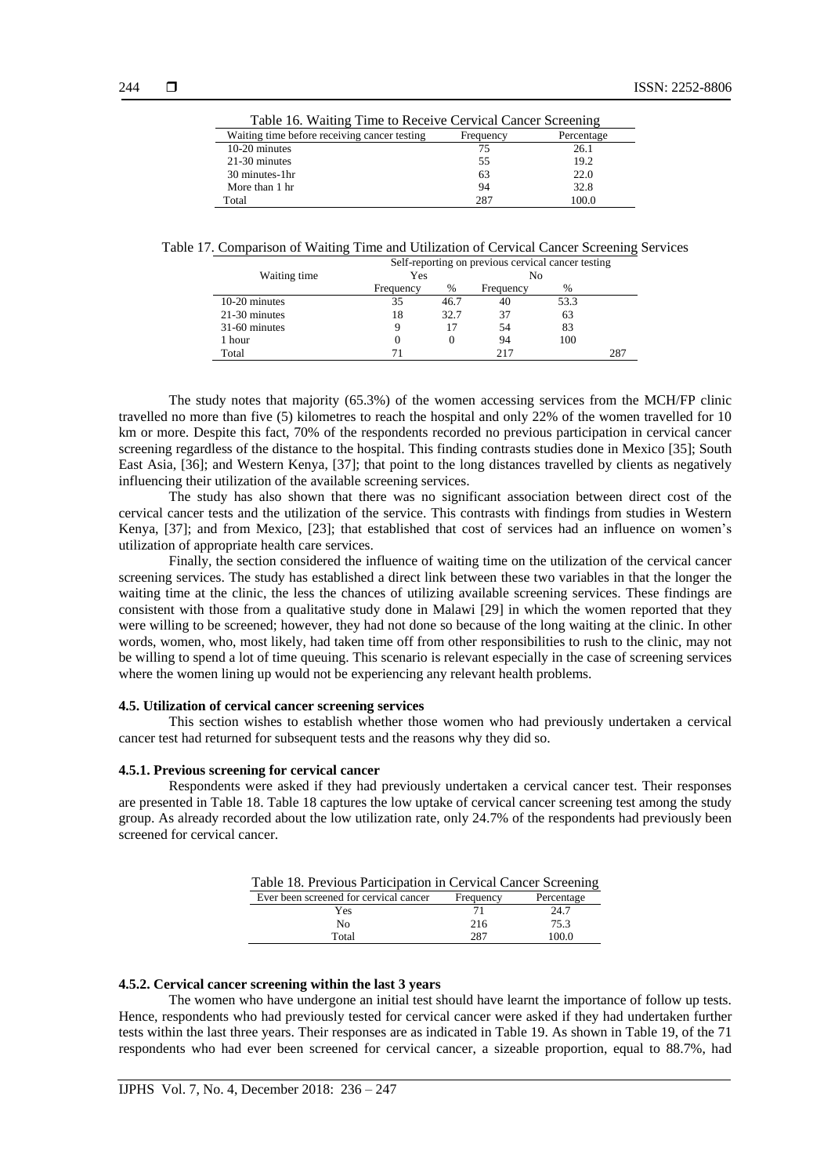| Table 16. Waiting Time to Receive Cervical Cancer Screening |            |  |  |  |
|-------------------------------------------------------------|------------|--|--|--|
| Frequency                                                   | Percentage |  |  |  |
| 75                                                          | 26.1       |  |  |  |
| 55                                                          | 19.2       |  |  |  |
| 63                                                          | 22.0       |  |  |  |
| 94                                                          | 32.8       |  |  |  |
| 287                                                         | 100.0      |  |  |  |
|                                                             |            |  |  |  |

Table 17. Comparison of Waiting Time and Utilization of Cervical Cancer Screening Services

| Self-reporting on previous cervical cancer testing |           |      |           |      |  |
|----------------------------------------------------|-----------|------|-----------|------|--|
| Waiting time                                       | Yes       |      | No        |      |  |
|                                                    | Frequency | %    | Frequency | $\%$ |  |
| 10-20 minutes                                      | 35        | 46.7 | 40        | 53.3 |  |
| 21-30 minutes                                      | 18        | 32.7 | 37        | 63   |  |
| 31-60 minutes                                      | 9         | 17   | 54        | 83   |  |
| 1 hour                                             | 0         | 0    | 94        | 100  |  |
| Total                                              | 71        |      | 217       |      |  |

The study notes that majority (65.3%) of the women accessing services from the MCH/FP clinic travelled no more than five (5) kilometres to reach the hospital and only 22% of the women travelled for 10 km or more. Despite this fact, 70% of the respondents recorded no previous participation in cervical cancer screening regardless of the distance to the hospital. This finding contrasts studies done in Mexico [35]; South East Asia, [36]; and Western Kenya, [37]; that point to the long distances travelled by clients as negatively influencing their utilization of the available screening services.

The study has also shown that there was no significant association between direct cost of the cervical cancer tests and the utilization of the service. This contrasts with findings from studies in Western Kenya, [37]; and from Mexico, [23]; that established that cost of services had an influence on women's utilization of appropriate health care services.

Finally, the section considered the influence of waiting time on the utilization of the cervical cancer screening services. The study has established a direct link between these two variables in that the longer the waiting time at the clinic, the less the chances of utilizing available screening services. These findings are consistent with those from a qualitative study done in Malawi [29] in which the women reported that they were willing to be screened; however, they had not done so because of the long waiting at the clinic. In other words, women, who, most likely, had taken time off from other responsibilities to rush to the clinic, may not be willing to spend a lot of time queuing. This scenario is relevant especially in the case of screening services where the women lining up would not be experiencing any relevant health problems.

#### **4.5. Utilization of cervical cancer screening services**

This section wishes to establish whether those women who had previously undertaken a cervical cancer test had returned for subsequent tests and the reasons why they did so.

#### **4.5.1. Previous screening for cervical cancer**

Respondents were asked if they had previously undertaken a cervical cancer test. Their responses are presented in Table 18. Table 18 captures the low uptake of cervical cancer screening test among the study group. As already recorded about the low utilization rate, only 24.7% of the respondents had previously been screened for cervical cancer.

| Table 18. Previous Participation in Cervical Cancer Screening |           |            |  |  |
|---------------------------------------------------------------|-----------|------------|--|--|
| Ever been screened for cervical cancer                        | Frequency | Percentage |  |  |
| Yes                                                           |           | 24.7       |  |  |
| Nο                                                            | 216       | 75.3       |  |  |
| Total                                                         | 287       | 100.0      |  |  |

#### **4.5.2. Cervical cancer screening within the last 3 years**

The women who have undergone an initial test should have learnt the importance of follow up tests. Hence, respondents who had previously tested for cervical cancer were asked if they had undertaken further tests within the last three years. Their responses are as indicated in Table 19. As shown in Table 19, of the 71 respondents who had ever been screened for cervical cancer, a sizeable proportion, equal to 88.7%, had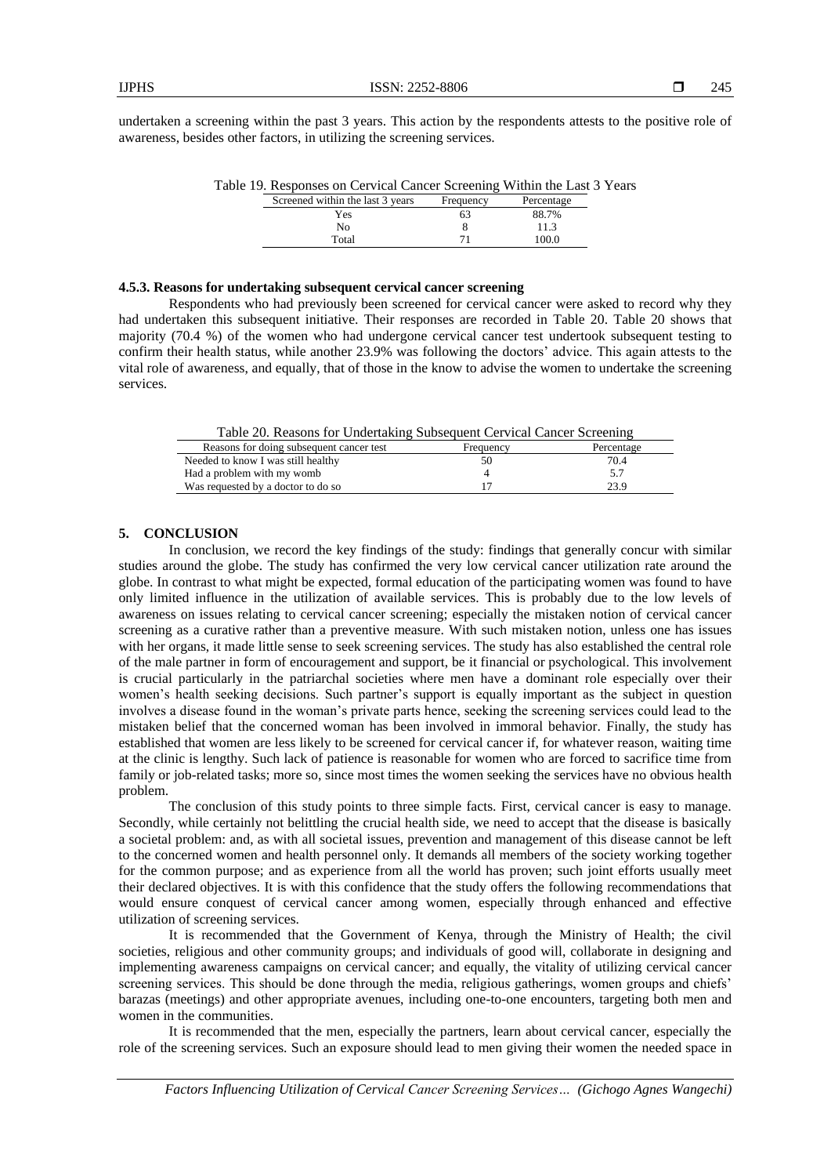undertaken a screening within the past 3 years. This action by the respondents attests to the positive role of awareness, besides other factors, in utilizing the screening services.

| able 19. Responses on Cervical Cancer Screening Within the Last 5 Teal |           |            |  |
|------------------------------------------------------------------------|-----------|------------|--|
| Screened within the last 3 years                                       | Frequency | Percentage |  |
| Yes                                                                    |           | 88.7%      |  |
| Nο                                                                     |           | 11.3       |  |
| Total                                                                  |           | 100.0      |  |
|                                                                        |           |            |  |

Table 10. Responses on Cervical Cancer Screening Within the Last 2 Year

# **4.5.3. Reasons for undertaking subsequent cervical cancer screening**

Respondents who had previously been screened for cervical cancer were asked to record why they had undertaken this subsequent initiative. Their responses are recorded in Table 20. Table 20 shows that majority (70.4 %) of the women who had undergone cervical cancer test undertook subsequent testing to confirm their health status, while another 23.9% was following the doctors' advice. This again attests to the vital role of awareness, and equally, that of those in the know to advise the women to undertake the screening services.

| Percentage |
|------------|
|            |
|            |
|            |
|            |

### **5. CONCLUSION**

In conclusion, we record the key findings of the study: findings that generally concur with similar studies around the globe. The study has confirmed the very low cervical cancer utilization rate around the globe. In contrast to what might be expected, formal education of the participating women was found to have only limited influence in the utilization of available services. This is probably due to the low levels of awareness on issues relating to cervical cancer screening; especially the mistaken notion of cervical cancer screening as a curative rather than a preventive measure. With such mistaken notion, unless one has issues with her organs, it made little sense to seek screening services. The study has also established the central role of the male partner in form of encouragement and support, be it financial or psychological. This involvement is crucial particularly in the patriarchal societies where men have a dominant role especially over their women's health seeking decisions. Such partner's support is equally important as the subject in question involves a disease found in the woman's private parts hence, seeking the screening services could lead to the mistaken belief that the concerned woman has been involved in immoral behavior. Finally, the study has established that women are less likely to be screened for cervical cancer if, for whatever reason, waiting time at the clinic is lengthy. Such lack of patience is reasonable for women who are forced to sacrifice time from family or job-related tasks; more so, since most times the women seeking the services have no obvious health problem.

The conclusion of this study points to three simple facts. First, cervical cancer is easy to manage. Secondly, while certainly not belittling the crucial health side, we need to accept that the disease is basically a societal problem: and, as with all societal issues, prevention and management of this disease cannot be left to the concerned women and health personnel only. It demands all members of the society working together for the common purpose; and as experience from all the world has proven; such joint efforts usually meet their declared objectives. It is with this confidence that the study offers the following recommendations that would ensure conquest of cervical cancer among women, especially through enhanced and effective utilization of screening services.

It is recommended that the Government of Kenya, through the Ministry of Health; the civil societies, religious and other community groups; and individuals of good will, collaborate in designing and implementing awareness campaigns on cervical cancer; and equally, the vitality of utilizing cervical cancer screening services. This should be done through the media, religious gatherings, women groups and chiefs' barazas (meetings) and other appropriate avenues, including one-to-one encounters, targeting both men and women in the communities.

It is recommended that the men, especially the partners, learn about cervical cancer, especially the role of the screening services. Such an exposure should lead to men giving their women the needed space in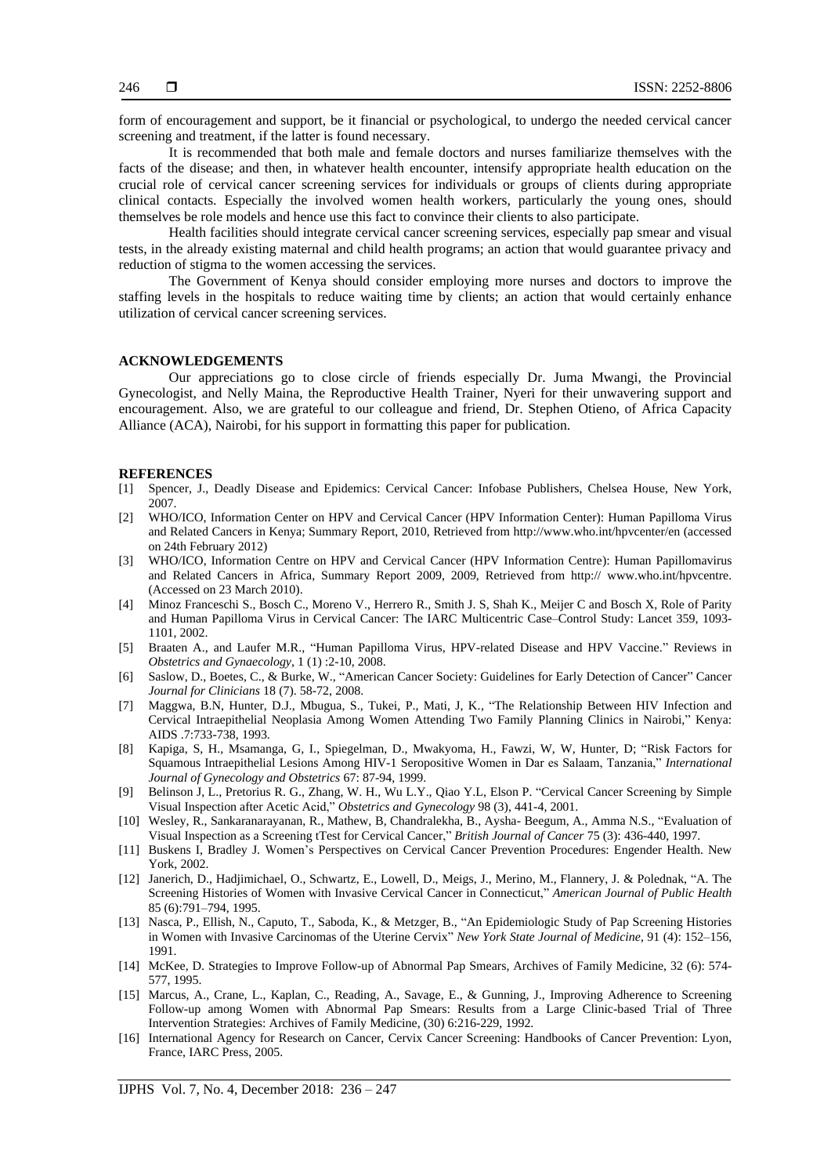form of encouragement and support, be it financial or psychological, to undergo the needed cervical cancer screening and treatment, if the latter is found necessary.

It is recommended that both male and female doctors and nurses familiarize themselves with the facts of the disease; and then, in whatever health encounter, intensify appropriate health education on the crucial role of cervical cancer screening services for individuals or groups of clients during appropriate clinical contacts. Especially the involved women health workers, particularly the young ones, should themselves be role models and hence use this fact to convince their clients to also participate.

Health facilities should integrate cervical cancer screening services, especially pap smear and visual tests, in the already existing maternal and child health programs; an action that would guarantee privacy and reduction of stigma to the women accessing the services.

The Government of Kenya should consider employing more nurses and doctors to improve the staffing levels in the hospitals to reduce waiting time by clients; an action that would certainly enhance utilization of cervical cancer screening services.

# **ACKNOWLEDGEMENTS**

Our appreciations go to close circle of friends especially Dr. Juma Mwangi, the Provincial Gynecologist, and Nelly Maina, the Reproductive Health Trainer, Nyeri for their unwavering support and encouragement. Also, we are grateful to our colleague and friend, Dr. Stephen Otieno, of Africa Capacity Alliance (ACA), Nairobi, for his support in formatting this paper for publication.

#### **REFERENCES**

- [1] Spencer, J., Deadly Disease and Epidemics: Cervical Cancer: Infobase Publishers, Chelsea House, New York, 2007.
- [2] WHO/ICO, Information Center on HPV and Cervical Cancer (HPV Information Center): Human Papilloma Virus and Related Cancers in Kenya; Summary Report, 2010, Retrieved from http://www.who.int/hpvcenter/en (accessed on 24th February 2012)
- [3] WHO/ICO, Information Centre on HPV and Cervical Cancer (HPV Information Centre): Human Papillomavirus and Related Cancers in Africa, Summary Report 2009, 2009, Retrieved from http:// www.who.int/hpvcentre. (Accessed on 23 March 2010).
- [4] Minoz Franceschi S., Bosch C., Moreno V., Herrero R., Smith J. S, Shah K., Meijer C and Bosch X, Role of Parity and Human Papilloma Virus in Cervical Cancer: The IARC Multicentric Case–Control Study: Lancet 359, 1093- 1101, 2002.
- [5] Braaten A., and Laufer M.R., "Human Papilloma Virus, HPV-related Disease and HPV Vaccine." Reviews in *Obstetrics and Gynaecology*, 1 (1) :2-10, 2008.
- [6] Saslow, D., Boetes, C., & Burke, W., "American Cancer Society: Guidelines for Early Detection of Cancer" Cancer *Journal for Clinicians* 18 (7). 58-72, 2008.
- [7] Maggwa, B.N, Hunter, D.J., Mbugua, S., Tukei, P., Mati, J, K., "The Relationship Between HIV Infection and Cervical Intraepithelial Neoplasia Among Women Attending Two Family Planning Clinics in Nairobi," Kenya: AIDS .7:733-738, 1993.
- [8] Kapiga, S, H., Msamanga, G, I., Spiegelman, D., Mwakyoma, H., Fawzi, W, W, Hunter, D; "Risk Factors for Squamous Intraepithelial Lesions Among HIV-1 Seropositive Women in Dar es Salaam, Tanzania," *International Journal of Gynecology and Obstetrics* 67: 87-94, 1999.
- [9] Belinson J, L., Pretorius R. G., Zhang, W. H., Wu L.Y., Qiao Y.L, Elson P. "Cervical Cancer Screening by Simple Visual Inspection after Acetic Acid," *Obstetrics and Gynecology* 98 (3), 441-4, 2001.
- [10] Wesley, R., Sankaranarayanan, R., Mathew, B, Chandralekha, B., Aysha- Beegum, A., Amma N.S., "Evaluation of Visual Inspection as a Screening tTest for Cervical Cancer," *British Journal of Cancer* 75 (3): 436-440, 1997.
- [11] Buskens I, Bradley J. Women's Perspectives on Cervical Cancer Prevention Procedures: Engender Health. New York, 2002.
- [12] Janerich, D., Hadjimichael, O., Schwartz, E., Lowell, D., Meigs, J., Merino, M., Flannery, J. & Polednak, "A. The Screening Histories of Women with Invasive Cervical Cancer in Connecticut," *American Journal of Public Health* 85 (6):791–794, 1995.
- [13] Nasca, P., Ellish, N., Caputo, T., Saboda, K., & Metzger, B., "An Epidemiologic Study of Pap Screening Histories in Women with Invasive Carcinomas of the Uterine Cervix" *New York State Journal of Medicine*, 91 (4): 152–156, 1991.
- [14] McKee, D. Strategies to Improve Follow-up of Abnormal Pap Smears, Archives of Family Medicine, 32 (6): 574- 577, 1995.
- [15] Marcus, A., Crane, L., Kaplan, C., Reading, A., Savage, E., & Gunning, J., Improving Adherence to Screening Follow-up among Women with Abnormal Pap Smears: Results from a Large Clinic-based Trial of Three Intervention Strategies: Archives of Family Medicine, (30) 6:216-229, 1992.
- [16] International Agency for Research on Cancer, Cervix Cancer Screening: Handbooks of Cancer Prevention: Lyon, France, IARC Press, 2005.